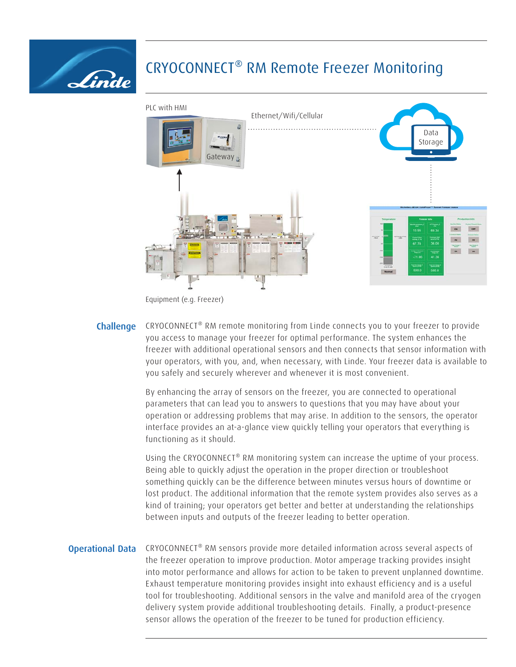

## CRYOCONNECT® RM Remote Freezer Monitoring



Equipment (e.g. Freezer)

**Challenge** CRYOCONNECT<sup>®</sup> RM remote monitoring from Linde connects you to your freezer to provide you access to manage your freezer for optimal performance. The system enhances the freezer with additional operational sensors and then connects that sensor information with your operators, with you, and, when necessary, with Linde. Your freezer data is available to you safely and securely wherever and whenever it is most convenient.

> By enhancing the array of sensors on the freezer, you are connected to operational parameters that can lead you to answers to questions that you may have about your operation or addressing problems that may arise. In addition to the sensors, the operator interface provides an at-a-glance view quickly telling your operators that everything is functioning as it should.

> Using the CRYOCONNECT® RM monitoring system can increase the uptime of your process. Being able to quickly adjust the operation in the proper direction or troubleshoot something quickly can be the difference between minutes versus hours of downtime or lost product. The additional information that the remote system provides also serves as a kind of training; your operators get better and better at understanding the relationships between inputs and outputs of the freezer leading to better operation.

**Operational Data** CRYOCONNECT<sup>®</sup> RM sensors provide more detailed information across several aspects of the freezer operation to improve production. Motor amperage tracking provides insight into motor performance and allows for action to be taken to prevent unplanned downtime. Exhaust temperature monitoring provides insight into exhaust efficiency and is a useful tool for troubleshooting. Additional sensors in the valve and manifold area of the cryogen delivery system provide additional troubleshooting details. Finally, a product-presence sensor allows the operation of the freezer to be tuned for production efficiency.